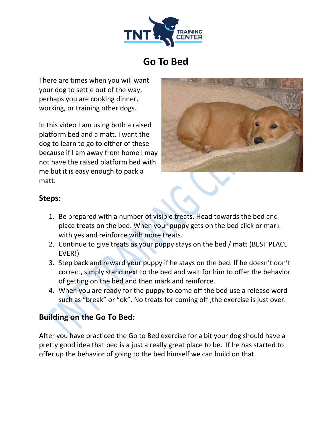

# **Go To Bed**

There are times when you will want your dog to settle out of the way, perhaps you are cooking dinner, working, or training other dogs.

In this video I am using both a raised platform bed and a matt. I want the dog to learn to go to either of these because if I am away from home I may not have the raised platform bed with me but it is easy enough to pack a matt.



#### **Steps:**

- 1. Be prepared with a number of visible treats. Head towards the bed and place treats on the bed. When your puppy gets on the bed click or mark with yes and reinforce with more treats.
- 2. Continue to give treats as your puppy stays on the bed / matt (BEST PLACE EVER!)
- 3. Step back and reward your puppy if he stays on the bed. If he doesn't don't correct, simply stand next to the bed and wait for him to offer the behavior of getting on the bed and then mark and reinforce.
- 4. When you are ready for the puppy to come off the bed use a release word such as "break" or "ok". No treats for coming off ,the exercise is just over.

## **Building on the Go To Bed:**

After you have practiced the Go to Bed exercise for a bit your dog should have a pretty good idea that bed is a just a really great place to be. If he has started to offer up the behavior of going to the bed himself we can build on that.